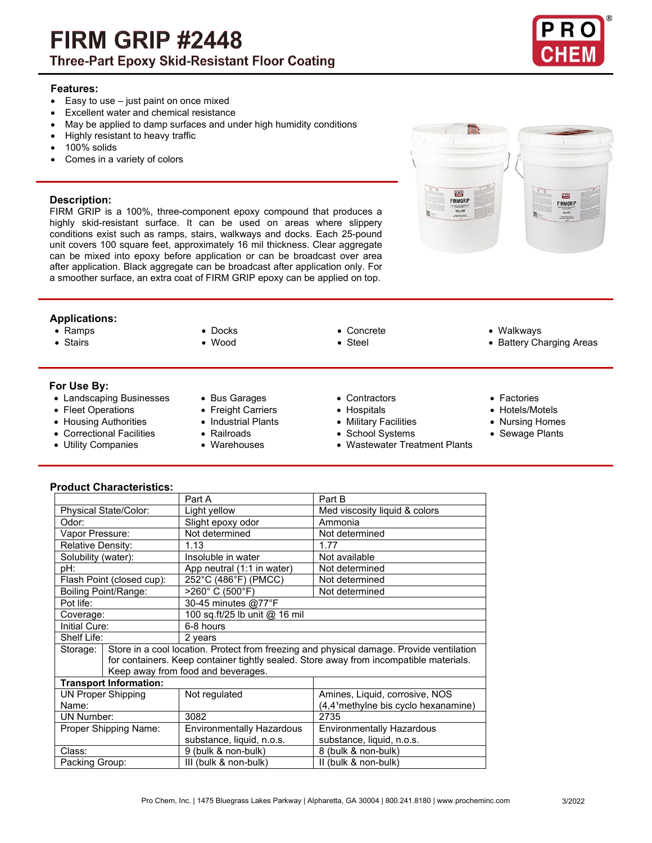# **FIRM GRIP #2448 Three-Part Epoxy Skid-Resistant Floor Coating**



 $(2.8)$ 

**FIRMGRIP** 

## **Features:**

- Easy to use just paint on once mixed
- Excellent water and chemical resistance
- May be applied to damp surfaces and under high humidity conditions
- Highly resistant to heavy traffic
- 100% solids
- Comes in a variety of colors

### **Description:**

FIRM GRIP is a 100%, three-component epoxy compound that produces a highly skid-resistant surface. It can be used on areas where slippery conditions exist such as ramps, stairs, walkways and docks. Each 25-pound unit covers 100 square feet, approximately 16 mil thickness. Clear aggregate can be mixed into epoxy before application or can be broadcast over area after application. Black aggregate can be broadcast after application only. For a smoother surface, an extra coat of FIRM GRIP epoxy can be applied on top.



- 
- 

## **For Use By:**

- Landscaping Businesses Bus Garages Contractors Factories
- Fleet Operations Freight Carriers Hospitals Hotels/Motels
- Housing Authorities Industrial Plants Military Facilities Nursing Homes
- Correctional Facilities
- 
- 
- 
- 
- 
- 
- 
- 
- Ramps Docks Concrete Walkways

 $\frac{1}{2}$ 

**FIRMGRIF** 

- Stairs Wood Steel Battery Charging Areas
	-
	-
	-
	-
- Utility Companies Warehouses Wastewater Treatment Plants
- 
- 
- 

**Product Characteristics:**

|                               |  | Part A                                                                                   | Part B                                           |
|-------------------------------|--|------------------------------------------------------------------------------------------|--------------------------------------------------|
| Physical State/Color:         |  | Light yellow                                                                             | Med viscosity liquid & colors                    |
| Odor:                         |  | Slight epoxy odor                                                                        | Ammonia                                          |
| Vapor Pressure:               |  | Not determined                                                                           | Not determined                                   |
| <b>Relative Density:</b>      |  | 1.13                                                                                     | 1.77                                             |
| Solubility (water):           |  | Insoluble in water                                                                       | Not available                                    |
| pH:                           |  | App neutral (1:1 in water)                                                               | Not determined                                   |
| Flash Point (closed cup):     |  | 252°C (486°F) (PMCC)                                                                     | Not determined                                   |
| Boiling Point/Range:          |  | >260°C (500°F)                                                                           | Not determined                                   |
| Pot life:                     |  | 30-45 minutes @77°F                                                                      |                                                  |
| Coverage:                     |  | 100 sq.ft/25 lb unit @ 16 mil                                                            |                                                  |
| <b>Initial Cure:</b>          |  | 6-8 hours                                                                                |                                                  |
| Shelf Life:                   |  | 2 years                                                                                  |                                                  |
| Storage:                      |  | Store in a cool location. Protect from freezing and physical damage. Provide ventilation |                                                  |
|                               |  | for containers. Keep container tightly sealed. Store away from incompatible materials.   |                                                  |
|                               |  | Keep away from food and beverages.                                                       |                                                  |
| <b>Transport Information:</b> |  |                                                                                          |                                                  |
| <b>UN Proper Shipping</b>     |  | Not regulated                                                                            | Amines, Liquid, corrosive, NOS                   |
| Name:                         |  |                                                                                          | (4,4 <sup>1</sup> methylne bis cyclo hexanamine) |
| <b>UN Number:</b>             |  | 3082                                                                                     | 2735                                             |
| Proper Shipping Name:         |  | <b>Environmentally Hazardous</b>                                                         | <b>Environmentally Hazardous</b>                 |
|                               |  | substance, liquid, n.o.s.                                                                | substance, liquid, n.o.s.                        |
| Class:                        |  | 9 (bulk & non-bulk)                                                                      | 8 (bulk & non-bulk)                              |
| Packing Group:                |  | III (bulk & non-bulk)                                                                    | II (bulk & non-bulk)                             |